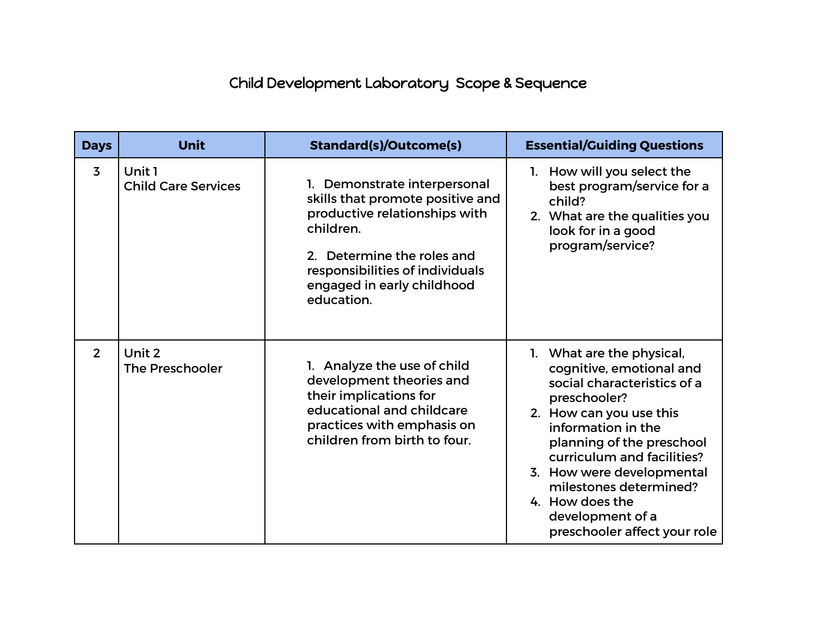## Child Development Laboratory Scope & Sequence

| <b>Days</b>    | <b>Unit</b>                          | <b>Standard(s)/Outcome(s)</b>                                                                                                                                                                                            | <b>Essential/Guiding Questions</b>                                                                                                                                                                                                                                                                                                             |
|----------------|--------------------------------------|--------------------------------------------------------------------------------------------------------------------------------------------------------------------------------------------------------------------------|------------------------------------------------------------------------------------------------------------------------------------------------------------------------------------------------------------------------------------------------------------------------------------------------------------------------------------------------|
| $\overline{3}$ | Unit 1<br><b>Child Care Services</b> | Demonstrate interpersonal<br>skills that promote positive and<br>productive relationships with<br>children.<br>2. Determine the roles and<br>responsibilities of individuals<br>engaged in early childhood<br>education. | 1. How will you select the<br>best program/service for a<br>child?<br>2. What are the qualities you<br>look for in a good<br>program/service?                                                                                                                                                                                                  |
| $2^{\circ}$    | Unit 2<br><b>The Preschooler</b>     | 1. Analyze the use of child<br>development theories and<br>their implications for<br>educational and childcare<br>practices with emphasis on<br>children from birth to four.                                             | 1. What are the physical,<br>cognitive, emotional and<br>social characteristics of a<br>preschooler?<br>2. How can you use this<br>information in the<br>planning of the preschool<br>curriculum and facilities?<br>3. How were developmental<br>milestones determined?<br>4. How does the<br>development of a<br>preschooler affect your role |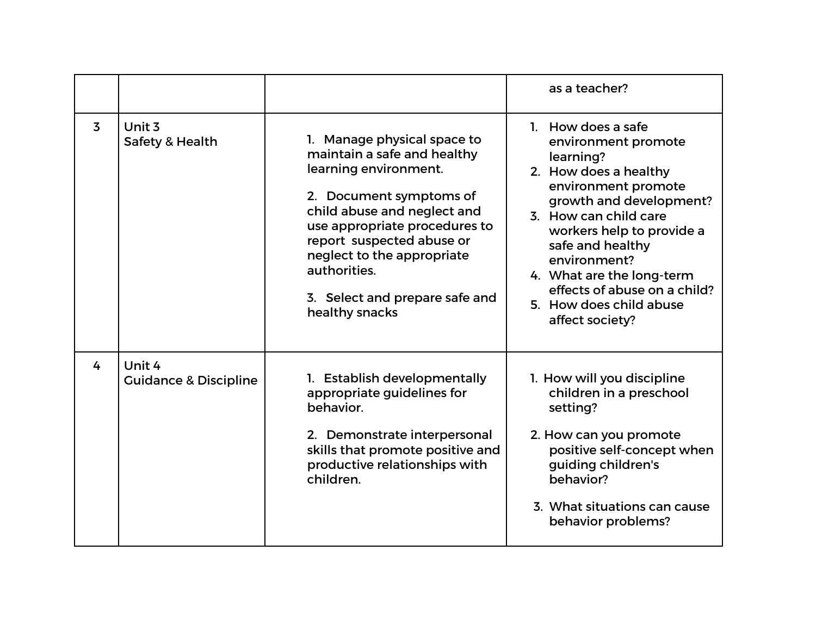|                |                                            |                                                                                                                                                                                                                                                                                                               | as a teacher?                                                                                                                                                                                                                                                                                                                          |
|----------------|--------------------------------------------|---------------------------------------------------------------------------------------------------------------------------------------------------------------------------------------------------------------------------------------------------------------------------------------------------------------|----------------------------------------------------------------------------------------------------------------------------------------------------------------------------------------------------------------------------------------------------------------------------------------------------------------------------------------|
| $\overline{3}$ | Unit 3<br>Safety & Health                  | 1. Manage physical space to<br>maintain a safe and healthy<br>learning environment.<br>2. Document symptoms of<br>child abuse and neglect and<br>use appropriate procedures to<br>report suspected abuse or<br>neglect to the appropriate<br>authorities.<br>3. Select and prepare safe and<br>healthy snacks | 1. How does a safe<br>environment promote<br>learning?<br>2. How does a healthy<br>environment promote<br>growth and development?<br>3. How can child care<br>workers help to provide a<br>safe and healthy<br>environment?<br>4. What are the long-term<br>effects of abuse on a child?<br>5. How does child abuse<br>affect society? |
| 4              | Unit 4<br><b>Guidance &amp; Discipline</b> | 1. Establish developmentally<br>appropriate guidelines for<br>behavior.<br>2. Demonstrate interpersonal<br>skills that promote positive and<br>productive relationships with<br>children.                                                                                                                     | 1. How will you discipline<br>children in a preschool<br>setting?<br>2. How can you promote<br>positive self-concept when<br>guiding children's<br>behavior?<br>3. What situations can cause<br>behavior problems?                                                                                                                     |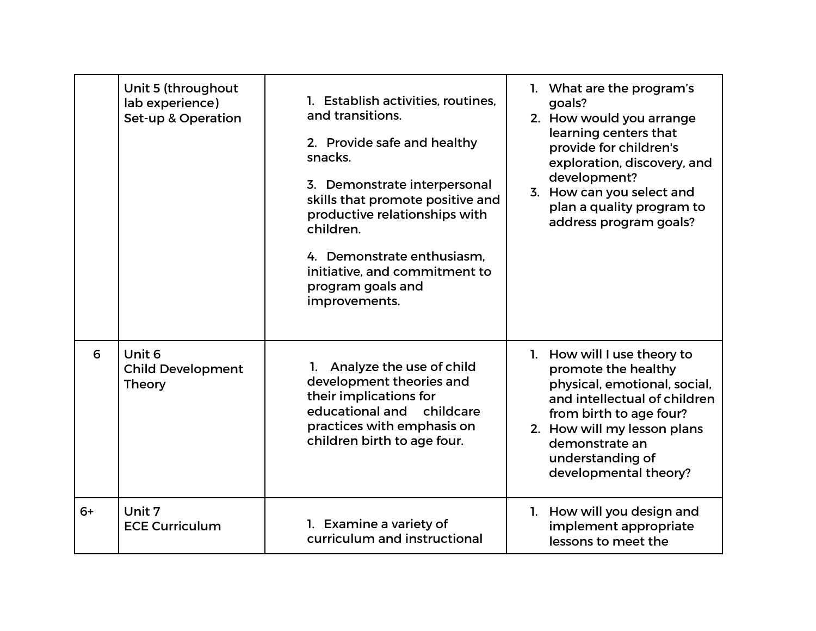|      | Unit 5 (throughout<br>lab experience)<br><b>Set-up &amp; Operation</b> | 1. Establish activities, routines.<br>and transitions.<br>2. Provide safe and healthy<br>snacks.<br>3. Demonstrate interpersonal<br>skills that promote positive and<br>productive relationships with<br>children.<br>4. Demonstrate enthusiasm.<br>initiative, and commitment to<br>program goals and<br>improvements. | 1. What are the program's<br>goals?<br>2. How would you arrange<br>learning centers that<br>provide for children's<br>exploration, discovery, and<br>development?<br>3. How can you select and<br>plan a quality program to<br>address program goals? |
|------|------------------------------------------------------------------------|-------------------------------------------------------------------------------------------------------------------------------------------------------------------------------------------------------------------------------------------------------------------------------------------------------------------------|-------------------------------------------------------------------------------------------------------------------------------------------------------------------------------------------------------------------------------------------------------|
| 6    | Unit 6<br><b>Child Development</b><br><b>Theory</b>                    | 1. Analyze the use of child<br>development theories and<br>their implications for<br>educational and childcare<br>practices with emphasis on<br>children birth to age four.                                                                                                                                             | 1. How will I use theory to<br>promote the healthy<br>physical, emotional, social,<br>and intellectual of children<br>from birth to age four?<br>2. How will my lesson plans<br>demonstrate an<br>understanding of<br>developmental theory?           |
| $6+$ | Unit 7<br><b>ECE Curriculum</b>                                        | 1. Examine a variety of<br>curriculum and instructional                                                                                                                                                                                                                                                                 | 1. How will you design and<br>implement appropriate<br>lessons to meet the                                                                                                                                                                            |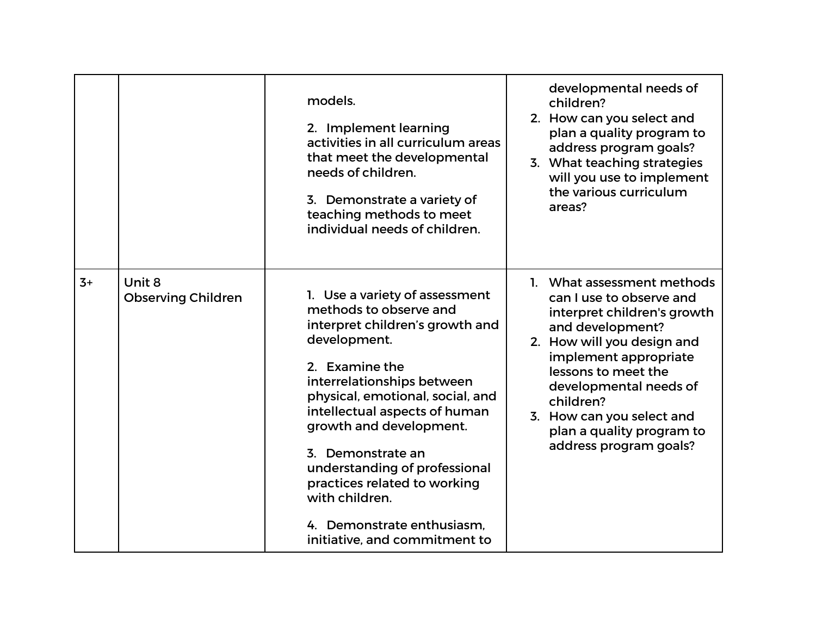|      |                                     | models.<br>2. Implement learning<br>activities in all curriculum areas<br>that meet the developmental<br>needs of children.<br>3. Demonstrate a variety of<br>teaching methods to meet<br>individual needs of children.                                                                                                                                                                                                            | developmental needs of<br>children?<br>2. How can you select and<br>plan a quality program to<br>address program goals?<br>3. What teaching strategies<br>will you use to implement<br>the various curriculum<br>areas?                                                                                            |
|------|-------------------------------------|------------------------------------------------------------------------------------------------------------------------------------------------------------------------------------------------------------------------------------------------------------------------------------------------------------------------------------------------------------------------------------------------------------------------------------|--------------------------------------------------------------------------------------------------------------------------------------------------------------------------------------------------------------------------------------------------------------------------------------------------------------------|
| $3+$ | Unit 8<br><b>Observing Children</b> | 1. Use a variety of assessment<br>methods to observe and<br>interpret children's growth and<br>development.<br>2. Examine the<br>interrelationships between<br>physical, emotional, social, and<br>intellectual aspects of human<br>growth and development.<br>3. Demonstrate an<br>understanding of professional<br>practices related to working<br>with children.<br>4. Demonstrate enthusiasm,<br>initiative, and commitment to | 1. What assessment methods<br>can I use to observe and<br>interpret children's growth<br>and development?<br>2. How will you design and<br>implement appropriate<br>lessons to meet the<br>developmental needs of<br>children?<br>3. How can you select and<br>plan a quality program to<br>address program goals? |